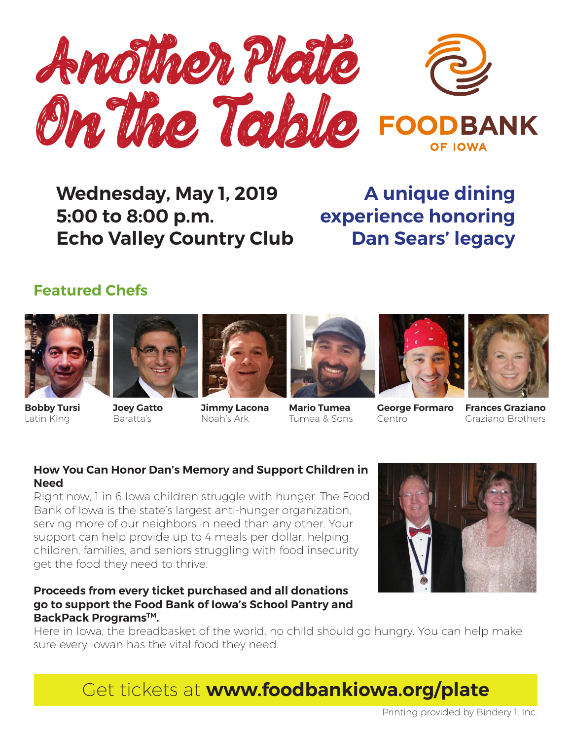

## **Wednesday, May 1, 2019 5:00 to 8:00 p.m. Echo Valley Country Club**

**A unique dining experience honoring Dan Sears' legacy**

### **Featured Chefs**















**Bobby Tursi** Latin King

**Joey Gatto** Baratta's

**Jimmy Lacona** Noah's Ark

**Mario Tumea** Tumea & Sons

**George Formaro** Centro

**Frances Graziano** Graziano Brothers

#### **How You Can Honor Dan's Memory and Support Children in Need**

Right now, 1 in 6 Iowa children struggle with hunger. The Food Bank of Iowa is the state's largest anti-hunger organization, serving more of our neighbors in need than any other. Your support can help provide up to 4 meals per dollar, helping children, families, and seniors struggling with food insecurity get the food they need to thrive.

#### **Proceeds from every ticket purchased and all donations go to support the Food Bank of Iowa's School Pantry and BackPack Programs™.**

Here in Iowa, the breadbasket of the world, no child should go hungry. You can help make sure every Iowan has the vital food they need.

Get tickets at **www.foodbankiowa.org/plate**